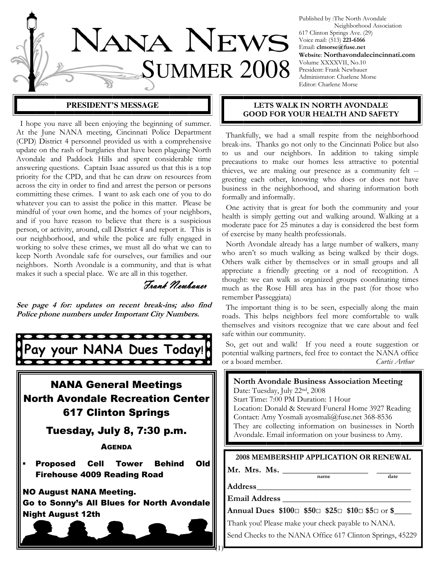

Published by :The North Avondale Neighborhood Association 617 Clinton Springs Ave. (29) Voice mail: (513) 221-6166 Email: clmorse@fuse.net Website: Northavondalecincinnati.com Volume XXXXVII, No.10 President: Frank Newbauer Administrator: Charlene Morse Editor: Charlene Morse

 I hope you nave all been enjoying the beginning of summer. At the June NANA meeting, Cincinnati Police Department (CPD) District 4 personnel provided us with a comprehensive update on the rash of burglaries that have been plaguing North Avondale and Paddock Hills and spent considerable time answering questions. Captain Isaac assured us that this is a top priority for the CPD, and that he can draw on resources from across the city in order to find and arrest the person or persons committing these crimes. I want to ask each one of you to do whatever you can to assist the police in this matter. Please be mindful of your own home, and the homes of your neighbors, and if you have reason to believe that there is a suspicious person, or activity, around, call District 4 and report it. This is our neighborhood, and while the police are fully engaged in working to solve these crimes, we must all do what we can to keep North Avondale safe for ourselves, our families and our neighbors. North Avondale is a community, and that is what makes it such a special place. We are all in this together.

Frank Newbauer

 $\overline{\blacksquare}$ 

See page 4 for: updates on recent break-ins; also find Police phone numbers under Important City Numbers.



#### **PRESIDENT'S MESSAGE ALL RETS WALK IN NORTH AVONDALE** GOOD FOR YOUR HEALTH AND SAFETY

 Thankfully, we had a small respite from the neighborhood break-ins. Thanks go not only to the Cincinnati Police but also to us and our neighbors. In addition to taking simple precautions to make our homes less attractive to potential thieves, we are making our presence as a community felt - greeting each other, knowing who does or does not have business in the neighborhood, and sharing information both formally and informally.

 One activity that is great for both the community and your health is simply getting out and walking around. Walking at a moderate pace for 25 minutes a day is considered the best form of exercise by many health professionals.

 North Avondale already has a large number of walkers, many who aren't so much walking as being walked by their dogs. Others walk either by themselves or in small groups and all appreciate a friendly greeting or a nod of recognition. A thought: we can walk as organized groups coordinating times much as the Rose Hill area has in the past (for those who remember Passeggiata)

 The important thing is to be seen, especially along the main roads. This helps neighbors feel more comfortable to walk themselves and visitors recognize that we care about and feel safe within our community.

 So, get out and walk! If you need a route suggestion or potential walking partners, feel free to contact the NANA office or a board member. Curtis Arthur

| <b>North Avondale Business Association Meeting</b><br>Date: Tuesday, July 22nd, 2008<br>Start Time: 7:00 PM Duration: 1 Hour<br>Location: Donald & Steward Funeral Home 3927 Reading<br>Contact: Amy Yosmali ayosmali@fuse.net 368-8536<br>They are collecting information on businesses in North<br>Avondale. Email information on your business to Amy. |  |  |  |
|-----------------------------------------------------------------------------------------------------------------------------------------------------------------------------------------------------------------------------------------------------------------------------------------------------------------------------------------------------------|--|--|--|
| 2008 MEMBERSHIP APPLICATION OR RENEWAL                                                                                                                                                                                                                                                                                                                    |  |  |  |
| Mr. Mrs. Ms.<br>date<br>name                                                                                                                                                                                                                                                                                                                              |  |  |  |
| Address_<br><b>Email Address</b>                                                                                                                                                                                                                                                                                                                          |  |  |  |

Annual Dues \$100□ \$50□ \$25□ \$10□ \$5□ or \$

Thank you! Please make your check payable to NANA.

Send Checks to the NANA Office 617 Clinton Springs, 45229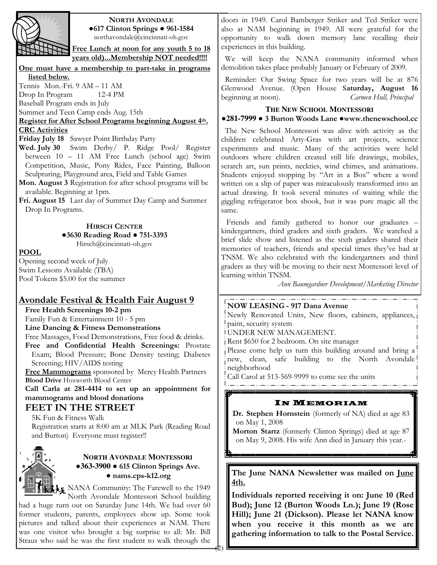

#### NORTH AVONDALE ●617 Clinton Springs ● 961-1584 northavondale@cincinnati-oh.gov

Free Lunch at noon for any youth 5 to 18 years old)...Membership NOT needed!!!!

#### One must have a membership to part-take in programs listed below.

Tennis Mon.-Fri. 9 AM – 11 AM

Drop In Program 12-4 PM Baseball Program ends in July

Summer and Teen Camp ends Aug. 15th

Register for After School Programs beginning August 4th.

# **CRC** Activities

Friday July 18 Sawyer Point Birthday Party

- Wed. July 30 Swim Derby/ P. Ridge Pool/ Register between 10 – 11 AM Free Lunch (school age) Swim Competition, Music, Pony Rides, Face Painting, Balloon Sculpturing, Playground area, Field and Table Games
- Mon. August 3 Registration for after school programs will be available. Beginning at 1pm.

Fri. August 15 Last day of Summer Day Camp and Summer Drop In Programs.

#### HIRSCH CENTER ●3630 Reading Road ● 751-3393 Hirsch@cincinnati-oh.gov

POOL

Opening second week of July Swim Lessons Available (TBA) Pool Tokens \$5.00 for the summer

# Avondale Festival & Health Fair August 9

Free Health Screenings 10-2 pm

Family Fun & Entertainment 10 - 5 pm Line Dancing & Fitness Demonstrations

Free Massages, Food Demonstrations, Free food & drinks.

Free and Confidential Health Screenings: Prostate Exam; Blood Pressure; Bone Density testing; Diabetes Screening; HIV/AIDS testing

Free Mammograms sponsored by Mercy Health Partners Blood Drive Hoxworth Blood Center

Call Carla at 281-4414 to set up an appointment for mammograms and blood donations

# FEET IN THE STREET

5K Fun & Fitness Walk Registration starts at 8:00 am at MLK Park (Reading Road

and Burton) Everyone must register!!

### **NORTH AVONDALE MONTESSORI** ●**363-3900** ● 615 Clinton Springs Ave. • nams.cps-k12.org

NANA Community: The Farewell to the 1949 North Avondale Montessori School building

had a huge turn out on Saturday June 14th. We had over 60 former students, parents, employees show up. Some took pictures and talked about their experiences at NAM. There was one visitor who brought a big surprise to all: Mr. Bill Straus who said he was the first student to walk through the doors in 1949. Carol Bamberger Striker and Ted Striker were also at NAM beginning in 1949. All were grateful for the opportunity to walk down memory lane recalling their experiences in this building.

 We will keep the NANA community informed when demolition takes place probably January or February of 2009.

 Reminder: Our Swing Space for two years will be at 876 Glenwood Avenue. (Open House Saturday, August 16 beginning at noon). Carmen Hull, Principal

# **THE NEW SCHOOL MONTESSORI**

# ●**281-7999** ● 3 Burton Woods Lane ●www.thenewschool.cc

 The New School Montessori was alive with activity as the children celebrated Arty-Gras with art projects, science experiments and music. Many of the activities were held outdoors where children created still life drawings, mobiles, scratch art, sun prints, neckties, wind chimes, and animations. Students enjoyed stopping by "Art in a Box" where a word written on a slip of paper was miraculously transformed into an actual drawing. It took several minutes of waiting while the giggling refrigerator box shook, but it was pure magic all the same.

 Friends and family gathered to honor our graduates – kindergartners, third graders and sixth graders. We watched a brief slide show and listened as the sixth graders shared their memories of teachers, friends and special times they've had at TNSM. We also celebrated with the kindergartners and third graders as they will be moving to their next Montessori level of learning within TNSM.

Ann Baumgardner Development/Marketing Director

#### \_ . . \_ . . \_ . . \_ . . \_ . . \_ . . \_ . . . \_ . . NOW LEASING - 917 Dana Avenue

Newly Renovated Units, New floors, cabinets, appliances, paint, security system

UNDER NEW MANAGEMENT.

Rent \$650 for 2 bedroom. On site manager

Please come help us turn this building around and bring a new, clean, safe building to the North Avondale neighborhood

Call Carol at 513-569-9999 to come see the units

# IN MEMORIAM

Dr. Stephen Hornstein (formerly of NA) died at age 83 on May 1, 2008

Morton Startz (formerly Clinton Springs) died at age 87 on May 9, 2008. His wife Ann died in January this year.-

The June NANA Newsletter was mailed on June 4th.

Individuals reported receiving it on: June 10 (Red Bud); June 12 (Burton Woods Ln.); June 19 (Rose Hill); June 21 (Dickson). Please let NANA know when you receive it this month as we are gathering information to talk to the Postal Service.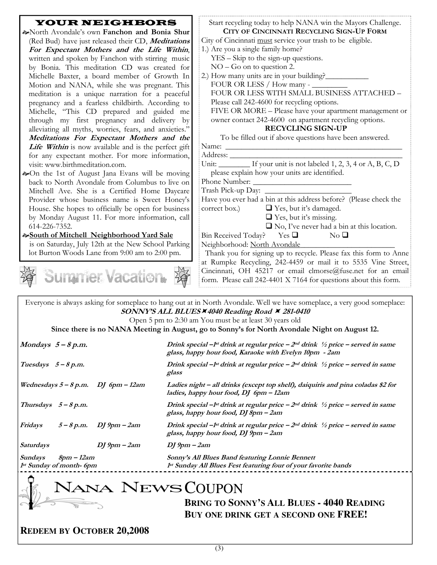| <b>YOUR NEIGHBORS</b>                                                                                                                                                        | Start recycling today to help NANA win the Mayors Challenge.         |  |  |  |  |
|------------------------------------------------------------------------------------------------------------------------------------------------------------------------------|----------------------------------------------------------------------|--|--|--|--|
| Morth Avondale's own Fanchon and Bonia Shur                                                                                                                                  | CITY OF CINCINNATI RECYCLING SIGN-UP FORM                            |  |  |  |  |
| (Red Bud) have just released their CD, Meditations                                                                                                                           | City of Cincinnati must service your trash to be eligible.           |  |  |  |  |
| For Expectant Mothers and the Life Within,                                                                                                                                   | 1.) Are you a single family home?                                    |  |  |  |  |
| written and spoken by Fanchon with stirring music                                                                                                                            | YES - Skip to the sign-up questions.                                 |  |  |  |  |
| by Bonia. This meditation CD was created for                                                                                                                                 | $NO - Go$ on to question 2.                                          |  |  |  |  |
| Michelle Baxter, a board member of Growth In                                                                                                                                 | 2.) How many units are in your building?_                            |  |  |  |  |
| Motion and NANA, while she was pregnant. This                                                                                                                                |                                                                      |  |  |  |  |
| meditation is a unique narration for a peaceful                                                                                                                              | FOUR OR LESS WITH SMALL BUSINESS ATTACHED -                          |  |  |  |  |
| pregnancy and a fearless childbirth. According to                                                                                                                            | Please call 242-4600 for recycling options.                          |  |  |  |  |
| Michelle, "This CD prepared and guided me                                                                                                                                    | FIVE OR MORE - Please have your apartment management or              |  |  |  |  |
| through my first pregnancy and delivery by                                                                                                                                   | owner contact 242-4600 on apartment recycling options.               |  |  |  |  |
| alleviating all myths, worries, fears, and anxieties."                                                                                                                       | <b>RECYCLING SIGN-UP</b>                                             |  |  |  |  |
| Meditations For Expectant Mothers and the                                                                                                                                    | To be filled out if above questions have been answered.              |  |  |  |  |
| Life Within is now available and is the perfect gift                                                                                                                         |                                                                      |  |  |  |  |
| for any expectant mother. For more information,                                                                                                                              |                                                                      |  |  |  |  |
| visit: www.birthmeditation.com.                                                                                                                                              | Unit: _________ If your unit is not labeled 1, 2, 3, 4 or A, B, C, D |  |  |  |  |
| lo On the 1st of August Jana Evans will be moving                                                                                                                            | please explain how your units are identified.                        |  |  |  |  |
| back to North Avondale from Columbus to live on                                                                                                                              |                                                                      |  |  |  |  |
| Mitchell Ave. She is a Certified Home Daycare                                                                                                                                |                                                                      |  |  |  |  |
| Provider whose business name is Sweet Honey's                                                                                                                                | Have you ever had a bin at this address before? (Please check the    |  |  |  |  |
| House. She hopes to officially be open for business                                                                                                                          | correct box.)<br>$\Box$ Yes, but it's damaged.                       |  |  |  |  |
| by Monday August 11. For more information, call                                                                                                                              | $\Box$ Yes, but it's missing.                                        |  |  |  |  |
| 614-226-7352.                                                                                                                                                                | $\Box$ No, I've never had a bin at this location.                    |  |  |  |  |
| &South of Mitchell Neighborhood Yard Sale                                                                                                                                    | Bin Received Today? Yes $\Box$<br>$\rm No$ $\Box$                    |  |  |  |  |
| is on Saturday, July 12th at the New School Parking                                                                                                                          | Neighborhood: North Avondale                                         |  |  |  |  |
| lot Burton Woods Lane from 9:00 am to 2:00 pm.                                                                                                                               | Thank you for signing up to recycle. Please fax this form to Anne    |  |  |  |  |
|                                                                                                                                                                              | at Rumpke Recycling, 242-4459 or mail it to 5535 Vine Street,        |  |  |  |  |
|                                                                                                                                                                              | Cincinnati, OH 45217 or email clmorse@fuse.net for an email          |  |  |  |  |
| <b>Summer Vacation.</b>                                                                                                                                                      | form. Please call 242-4401 X 7164 for questions about this form.     |  |  |  |  |
|                                                                                                                                                                              |                                                                      |  |  |  |  |
|                                                                                                                                                                              |                                                                      |  |  |  |  |
| Everyone is always asking for someplace to hang out at in North Avondale. Well we have someplace, a very good someplace:<br>SONNY'S ALL BLUES X 4040 Reading Road X 281-0410 |                                                                      |  |  |  |  |
| Open 5 pm to 2:30 am You must be at least 30 years old                                                                                                                       |                                                                      |  |  |  |  |
| Since there is no NANA Meeting in August, go to Sonny's for North Avondale Night on August 12.                                                                               |                                                                      |  |  |  |  |
|                                                                                                                                                                              |                                                                      |  |  |  |  |

| Mondays $5 - 8 p.m.$                    |                             | Drink special -1st drink at regular price - $2nd$ drink $\frac{1}{2}$ price - served in same<br>glass, happy hour food, Karaoke with Evelyn 10pm - 2am |
|-----------------------------------------|-----------------------------|--------------------------------------------------------------------------------------------------------------------------------------------------------|
| Tuesdays $5-8$ p.m.                     |                             | Drink special $-1$ <sup>st</sup> drink at regular price $-2^{nd}$ drink $\frac{1}{2}$ price $-$ served in same<br>glass                                |
| Wednesdays $5 - 8 p.m.$ DJ 6pm $-12 am$ |                             | Ladies night – all drinks (except top shelf), daiquiris and pina coladas \$2 for<br>ladies, happy hour food, $D J$ 6pm – 12am                          |
| Thursdays $5-8$ p.m.                    |                             | Drink special $-i$ <sup>st</sup> drink at regular price $-2^{nd}$ drink $\frac{1}{2}$ price $-$ served in same<br>glass, happy hour food, DJ 8pm - 2am |
| Fridays                                 | $5 - 8$ p.m. DJ 9pm $-2$ am | Drink special $-1$ <sup>st</sup> drink at regular price $-2^{nd}$ drink $\frac{1}{2}$ price $-$ served in same<br>glass, happy hour food, DJ 9pm - 2am |
| <i>Saturdays</i>                        | $DI$ 9pm $-$ 2am            | $DI$ 9pm $-$ 2am                                                                                                                                       |
| Sundays<br>8pm – 12am                   |                             | Sonny's All Blues Band featuring Lonnie Bennett                                                                                                        |
| 1 <sup>st</sup> Sunday of month- 6pm    |                             | 1st Sunday All Blues Fest featuring four of your favorite bands                                                                                        |
|                                         |                             |                                                                                                                                                        |

NANA NEWS COUPON

**BRING TO SONNY'S ALL BLUES - 4040 READING BUY ONE DRINK GET A SECOND ONE FREE!** 

**REDEEM BY OCTOBER 20,2008**